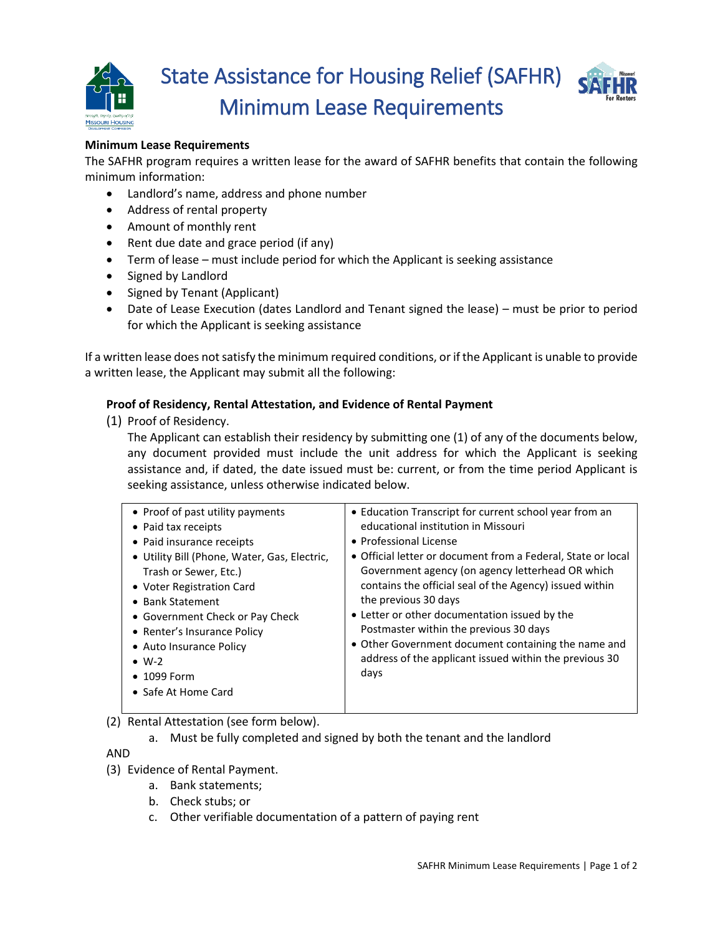



# **Minimum Lease Requirements**

The SAFHR program requires a written lease for the award of SAFHR benefits that contain the following minimum information:

- Landlord's name, address and phone number
- Address of rental property
- Amount of monthly rent
- Rent due date and grace period (if any)
- Term of lease must include period for which the Applicant is seeking assistance
- Signed by Landlord
- Signed by Tenant (Applicant)
- Date of Lease Execution (dates Landlord and Tenant signed the lease) must be prior to period for which the Applicant is seeking assistance

If a written lease does not satisfy the minimum required conditions, or if the Applicant is unable to provide a written lease, the Applicant may submit all the following:

# **Proof of Residency, Rental Attestation, and Evidence of Rental Payment**

(1) Proof of Residency.

The Applicant can establish their residency by submitting one (1) of any of the documents below, any document provided must include the unit address for which the Applicant is seeking assistance and, if dated, the date issued must be: current, or from the time period Applicant is seeking assistance, unless otherwise indicated below.

(2) Rental Attestation (see form below).

a. Must be fully completed and signed by both the tenant and the landlord

AND

- (3) Evidence of Rental Payment.
	- a. Bank statements;
	- b. Check stubs; or
	- c. Other verifiable documentation of a pattern of paying rent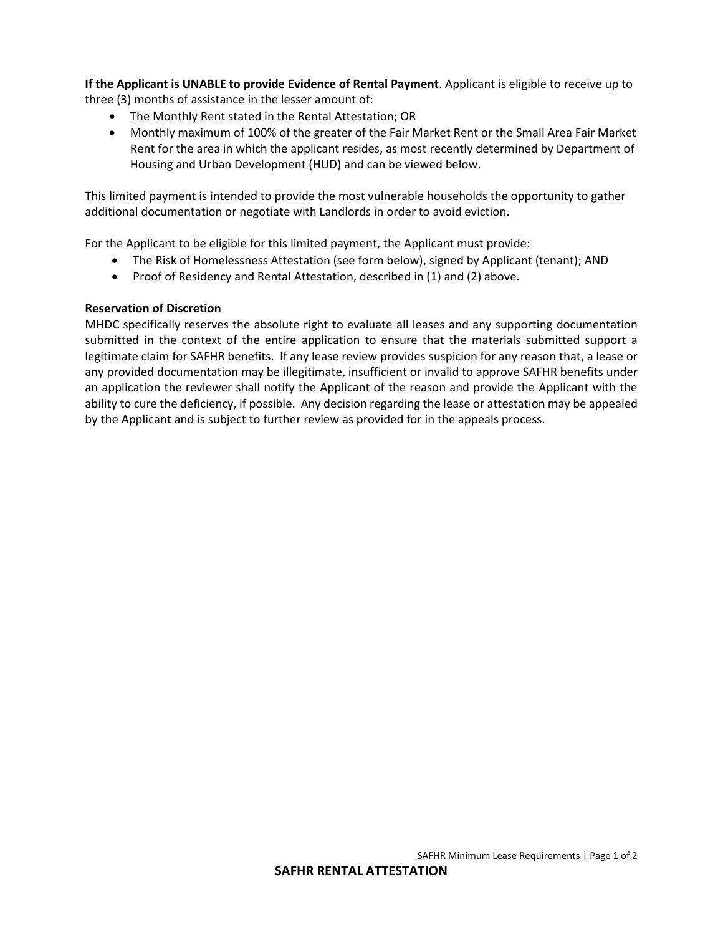**If the Applicant is UNABLE to provide Evidence of Rental Payment**. Applicant is eligible to receive up to three (3) months of assistance in the lesser amount of:

- The Monthly Rent stated in the Rental Attestation; OR
- Monthly maximum of 100% of the greater of the Fair Market Rent or the Small Area Fair Market Rent for the area in which the applicant resides, as most recently determined by Department of Housing and Urban Development (HUD) and can be viewed below.

This limited payment is intended to provide the most vulnerable households the opportunity to gather additional documentation or negotiate with Landlords in order to avoid eviction.

For the Applicant to be eligible for this limited payment, the Applicant must provide:

- The Risk of Homelessness Attestation (see form below), signed by Applicant (tenant); AND
- Proof of Residency and Rental Attestation, described in (1) and (2) above.

#### **Reservation of Discretion**

MHDC specifically reserves the absolute right to evaluate all leases and any supporting documentation submitted in the context of the entire application to ensure that the materials submitted support a legitimate claim for SAFHR benefits. If any lease review provides suspicion for any reason that, a lease or any provided documentation may be illegitimate, insufficient or invalid to approve SAFHR benefits under an application the reviewer shall notify the Applicant of the reason and provide the Applicant with the ability to cure the deficiency, if possible. Any decision regarding the lease or attestation may be appealed by the Applicant and is subject to further review as provided for in the appeals process.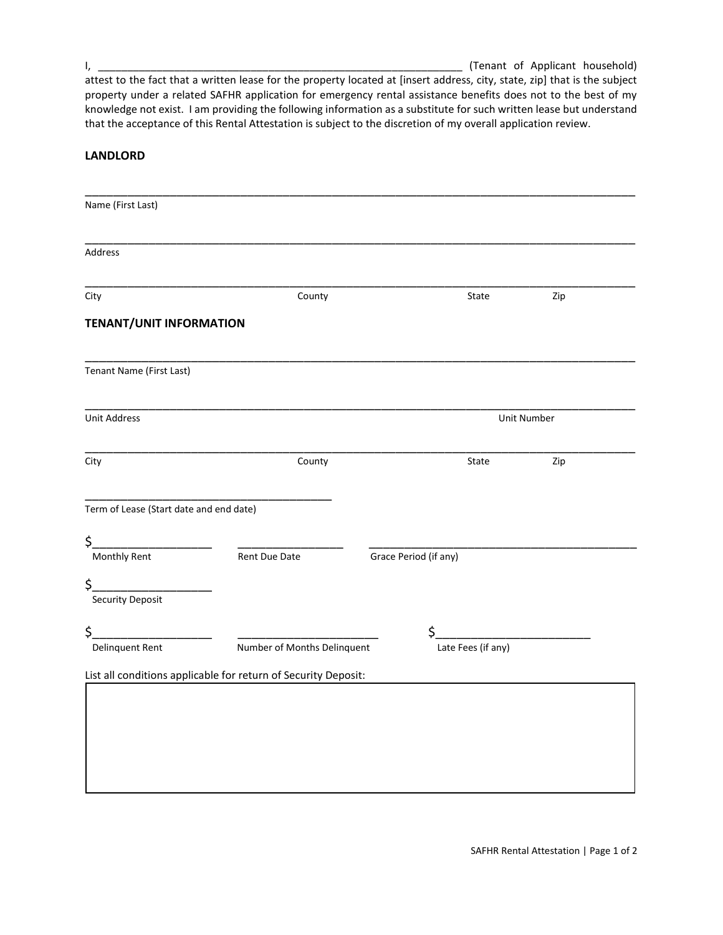I, \_\_\_\_\_\_\_\_\_\_\_\_\_\_\_\_\_\_\_\_\_\_\_\_\_\_\_\_\_\_\_\_\_\_\_\_\_\_\_\_\_\_\_\_\_\_\_\_\_\_\_\_\_\_\_\_\_\_\_\_\_\_ (Tenant of Applicant household)

attest to the fact that a written lease for the property located at [insert address, city, state, zip] that is the subject property under a related SAFHR application for emergency rental assistance benefits does not to the best of my knowledge not exist. I am providing the following information as a substitute for such written lease but understand that the acceptance of this Rental Attestation is subject to the discretion of my overall application review.

# **LANDLORD**

| Name (First Last)                       |                                                                |                       |                    |     |  |
|-----------------------------------------|----------------------------------------------------------------|-----------------------|--------------------|-----|--|
|                                         |                                                                |                       |                    |     |  |
|                                         |                                                                |                       |                    |     |  |
| Address                                 |                                                                |                       |                    |     |  |
|                                         |                                                                |                       |                    |     |  |
| City                                    | County                                                         |                       | State              | Zip |  |
| <b>TENANT/UNIT INFORMATION</b>          |                                                                |                       |                    |     |  |
|                                         |                                                                |                       |                    |     |  |
| Tenant Name (First Last)                |                                                                |                       |                    |     |  |
|                                         |                                                                |                       |                    |     |  |
| <b>Unit Address</b>                     |                                                                |                       | Unit Number        |     |  |
|                                         |                                                                |                       |                    |     |  |
| City                                    | County                                                         |                       | State              | Zip |  |
|                                         |                                                                |                       |                    |     |  |
| Term of Lease (Start date and end date) |                                                                |                       |                    |     |  |
|                                         |                                                                |                       |                    |     |  |
| \$_<br><b>Monthly Rent</b>              | Rent Due Date                                                  | Grace Period (if any) |                    |     |  |
|                                         |                                                                |                       |                    |     |  |
| \$_<br><b>Security Deposit</b>          |                                                                |                       |                    |     |  |
|                                         |                                                                |                       |                    |     |  |
| \$_<br>Delinquent Rent                  | Number of Months Delinquent                                    | \$                    | Late Fees (if any) |     |  |
|                                         |                                                                |                       |                    |     |  |
|                                         | List all conditions applicable for return of Security Deposit: |                       |                    |     |  |
|                                         |                                                                |                       |                    |     |  |
|                                         |                                                                |                       |                    |     |  |
|                                         |                                                                |                       |                    |     |  |
|                                         |                                                                |                       |                    |     |  |
|                                         |                                                                |                       |                    |     |  |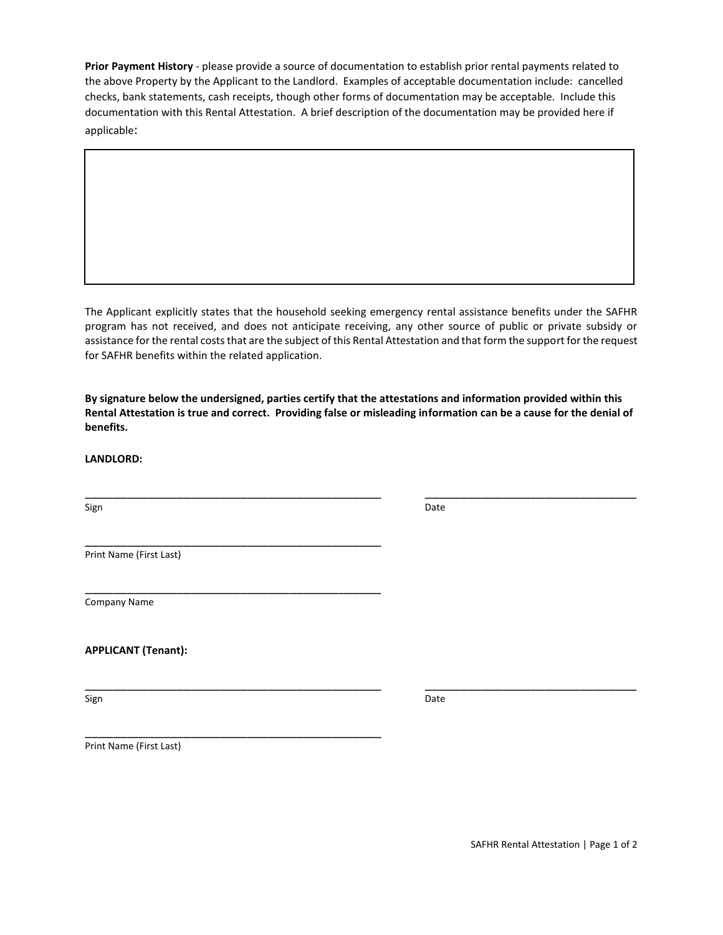**Prior Payment History** - please provide a source of documentation to establish prior rental payments related to the above Property by the Applicant to the Landlord. Examples of acceptable documentation include: cancelled checks, bank statements, cash receipts, though other forms of documentation may be acceptable. Include this documentation with this Rental Attestation. A brief description of the documentation may be provided here if applicable:

The Applicant explicitly states that the household seeking emergency rental assistance benefits under the SAFHR program has not received, and does not anticipate receiving, any other source of public or private subsidy or assistance for the rental costs that are the subject of this Rental Attestation and that form the support for the request for SAFHR benefits within the related application.

**By signature below the undersigned, parties certify that the attestations and information provided within this Rental Attestation is true and correct. Providing false or misleading information can be a cause for the denial of benefits.**

\_\_\_\_\_\_\_\_\_\_\_\_\_\_\_\_\_\_\_\_\_\_\_\_\_\_\_\_\_\_\_\_\_\_\_\_\_\_\_\_\_\_ \_\_\_\_\_\_\_\_\_\_\_\_\_\_\_\_\_\_\_\_\_\_\_\_\_\_\_\_\_\_

**LANDLORD:**

Sign **Date** 

\_\_\_\_\_\_\_\_\_\_\_\_\_\_\_\_\_\_\_\_\_\_\_\_\_\_\_\_\_\_\_\_\_\_\_\_\_\_\_\_\_\_ \_\_\_\_\_\_\_\_\_\_\_\_\_\_\_\_\_\_\_\_\_\_\_\_\_\_\_\_\_\_

Print Name (First Last)

\_\_\_\_\_\_\_\_\_\_\_\_\_\_\_\_\_\_\_\_\_\_\_\_\_\_\_\_\_\_\_\_\_\_\_\_\_\_\_\_\_\_

\_\_\_\_\_\_\_\_\_\_\_\_\_\_\_\_\_\_\_\_\_\_\_\_\_\_\_\_\_\_\_\_\_\_\_\_\_\_\_\_\_\_

\_\_\_\_\_\_\_\_\_\_\_\_\_\_\_\_\_\_\_\_\_\_\_\_\_\_\_\_\_\_\_\_\_\_\_\_\_\_\_\_\_\_

Company Name

**APPLICANT (Tenant):**

Sign **Date** 

Print Name (First Last)

SAFHR Rental Attestation | Page 1 of 2